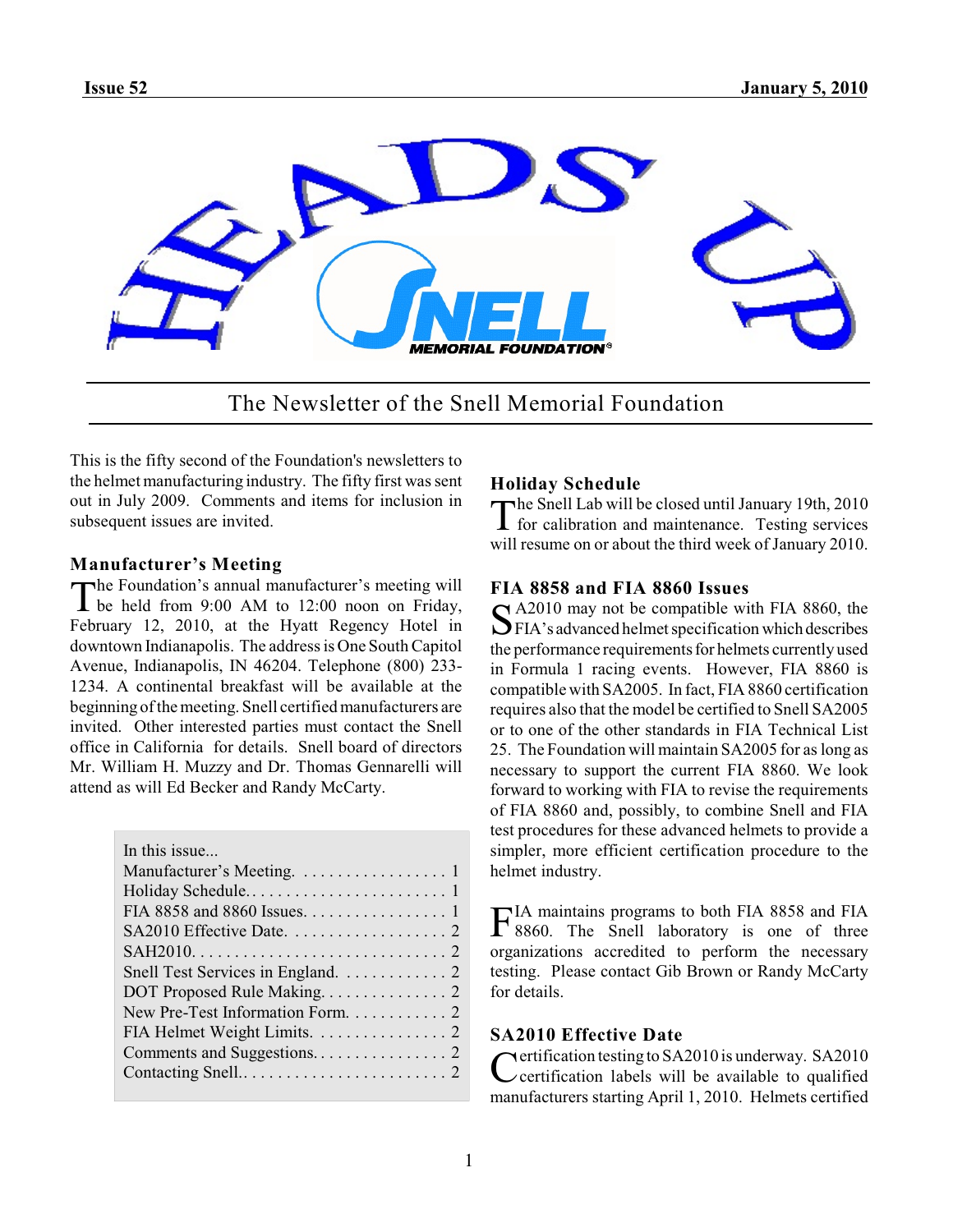

The Newsletter of the Snell Memorial Foundation

This is the fifty second of the Foundation's newsletters to the helmet manufacturing industry. The fifty first was sent out in July 2009. Comments and items for inclusion in subsequent issues are invited.

# **Manufacturer's Meeting**

The Foundation's annual manufacturer's meeting will<br>be held from 9:00 AM to 12:00 noon on Friday, he Foundation's annual manufacturer's meeting will February 12, 2010, at the Hyatt Regency Hotel in downtown Indianapolis. The address is One South Capitol Avenue, Indianapolis, IN 46204. Telephone (800) 233- 1234. A continental breakfast will be available at the beginning of the meeting. Snell certified manufacturers are invited. Other interested parties must contact the Snell office in California for details. Snell board of directors Mr. William H. Muzzy and Dr. Thomas Gennarelli will attend as will Ed Becker and Randy McCarty.

| In this issue                     |
|-----------------------------------|
| Manufacturer's Meeting. 1         |
|                                   |
| FIA 8858 and 8860 Issues. 1       |
|                                   |
|                                   |
| Snell Test Services in England. 2 |
|                                   |
| New Pre-Test Information Form. 2  |
| FIA Helmet Weight Limits. 2       |
|                                   |
|                                   |
|                                   |

# **Holiday Schedule**

The Snell Lab will be closed until January 19th, 2010<br>for calibration and maintenance. Testing services for calibration and maintenance. Testing services will resume on or about the third week of January 2010.

# **FIA 8858 and FIA 8860 Issues**

S A2010 may not be compatible with FIA 8860, the<br>SFIA's advanced helmet specification which describes A2010 may not be compatible with FIA 8860, the the performance requirements for helmets currently used in Formula 1 racing events. However, FIA 8860 is compatible with SA2005. In fact, FIA 8860 certification requires also that the model be certified to Snell SA2005 or to one of the other standards in FIA Technical List 25. The Foundation will maintain SA2005 for as long as necessary to support the current FIA 8860. We look forward to working with FIA to revise the requirements of FIA 8860 and, possibly, to combine Snell and FIA test procedures for these advanced helmets to provide a simpler, more efficient certification procedure to the helmet industry.

FIA maintains programs to both FIA 8858 and FIA 8860. The Snell laboratory is one of three 8860. The Snell laboratory is one of three organizations accredited to perform the necessary testing. Please contact Gib Brown or Randy McCarty for details.

# **SA2010 Effective Date**

Certification testing to SA2010 is underway. SA2010<br>Certification labels will be available to qualified certification labels will be available to qualified manufacturers starting April 1, 2010. Helmets certified